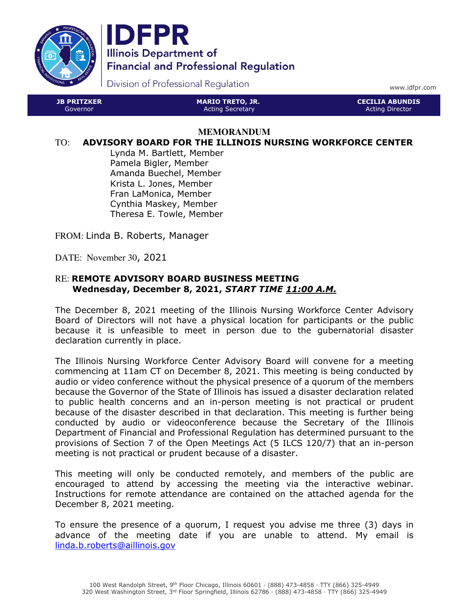

JB PRITZKER Governor



Division of Professional Regulation

www.idfpr.com

CECILIA ABUNDIS Acting Director

#### **MEMORANDUM**

MARIO TRETO, JR. Acting Secretary

#### TO: ADVISORY BOARD FOR THE ILLINOIS NURSING WORKFORCE CENTER

Lynda M. Bartlett, Member Pamela Bigler, Member Amanda Buechel, Member Krista L. Jones, Member Fran LaMonica, Member Cynthia Maskey, Member Theresa E. Towle, Member

FROM: Linda B. Roberts, Manager

DATE: November 30, 2021

#### RE: REMOTE ADVISORY BOARD BUSINESS MEETING Wednesday, December 8, 2021, START TIME 11:00 A.M.

The December 8, 2021 meeting of the Illinois Nursing Workforce Center Advisory Board of Directors will not have a physical location for participants or the public because it is unfeasible to meet in person due to the gubernatorial disaster declaration currently in place.

The Illinois Nursing Workforce Center Advisory Board will convene for a meeting commencing at 11am CT on December 8, 2021. This meeting is being conducted by audio or video conference without the physical presence of a quorum of the members because the Governor of the State of Illinois has issued a disaster declaration related to public health concerns and an in-person meeting is not practical or prudent because of the disaster described in that declaration. This meeting is further being conducted by audio or videoconference because the Secretary of the Illinois Department of Financial and Professional Regulation has determined pursuant to the provisions of Section 7 of the Open Meetings Act (5 ILCS 120/7) that an in-person meeting is not practical or prudent because of a disaster.

This meeting will only be conducted remotely, and members of the public are encouraged to attend by accessing the meeting via the interactive webinar. Instructions for remote attendance are contained on the attached agenda for the December 8, 2021 meeting.

To ensure the presence of a quorum, I request you advise me three (3) days in advance of the meeting date if you are unable to attend. My email is linda.b.roberts@aillinois.gov